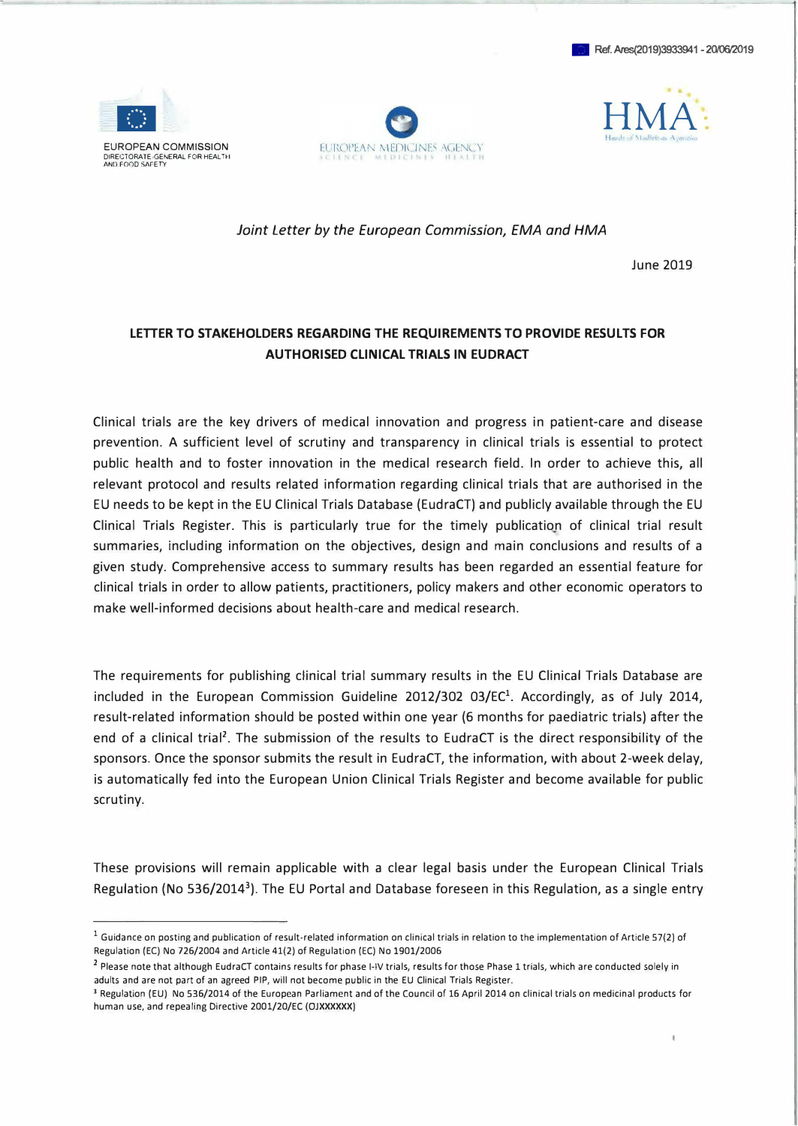





Joint Letter by the European Commission, EMA and HMA

June 2019

## LETTER TO STAKEHOLDERS REGARDING THE REQUIREMENTS TO PROVIDE RESULTS FOR AUTHORISED CLINICAL TRIALS IN EUDRACT

Clinical trials are the key drivers of medical innovation and progress in patient-care and disease prevention. A sufficient level of scrutiny and transparency in clinical trials is essential to protect public health and to foster innovation in the medical research field. In order to achieve this, all relevant protocol and results related information regarding clinical trials that are authorised in the EU needs to be kept in the EU Clinical Trials Database (EudraCT) and publicly available through the EU Clinical Trials Register. This is particularly true for the timely publication of clinical trial result summaries, including information on the objectives, design and main conclusions and results of a given study. Comprehensive access to summary results has been regarded an essential feature for clinical trials in order to allow patients, practitioners, policy makers and other economic operators to make well-informed decisions about health-care and medical research.

The requirements for publishing clinical trial summary results in the EU Clinical Trials Database are included in the European Commission Guideline 2012/302 03/EC<sup>1</sup>. Accordingly, as of July 2014, result-related information should be posted within one year (6 months for paediatric trials) after the end of a clinical trial<sup>2</sup>. The submission of the results to EudraCT is the direct responsibility of the sponsors. Once the sponsor submits the result in EudraCT, the information, with about 2-week delay, is automatically fed into the European Union Clinical Trials Register and become available for public scrutiny.

These provisions will remain applicable with a clear legal basis under the European Clinical Trials Regulation (No 536/20143). The EU Portal and Database foreseen in this Regulation, as a single entry

 $<sup>1</sup>$  Guidance on posting and publication of result-related information on clinical trials in relation to the implementation of Article 57(2) of</sup> Regulation (EC) No 726/2004 and Article 41(2) of Regulation (EC) No 1901/2006

<sup>&</sup>lt;sup>2</sup> Please note that although EudraCT contains results for phase I-IV trials, results for those Phase 1 trials, which are conducted solely in adults and are not part of an agreed PIP, will not become public in the EU Clinical Trials Register.

<sup>&</sup>lt;sup>3</sup> Regulation (EU) No 536/2014 of the European Parliament and of the Council of 16 April 2014 on clinical trials on medicinal products for human use, and repealing Directive 2001/20/EC (OJXXXXXX)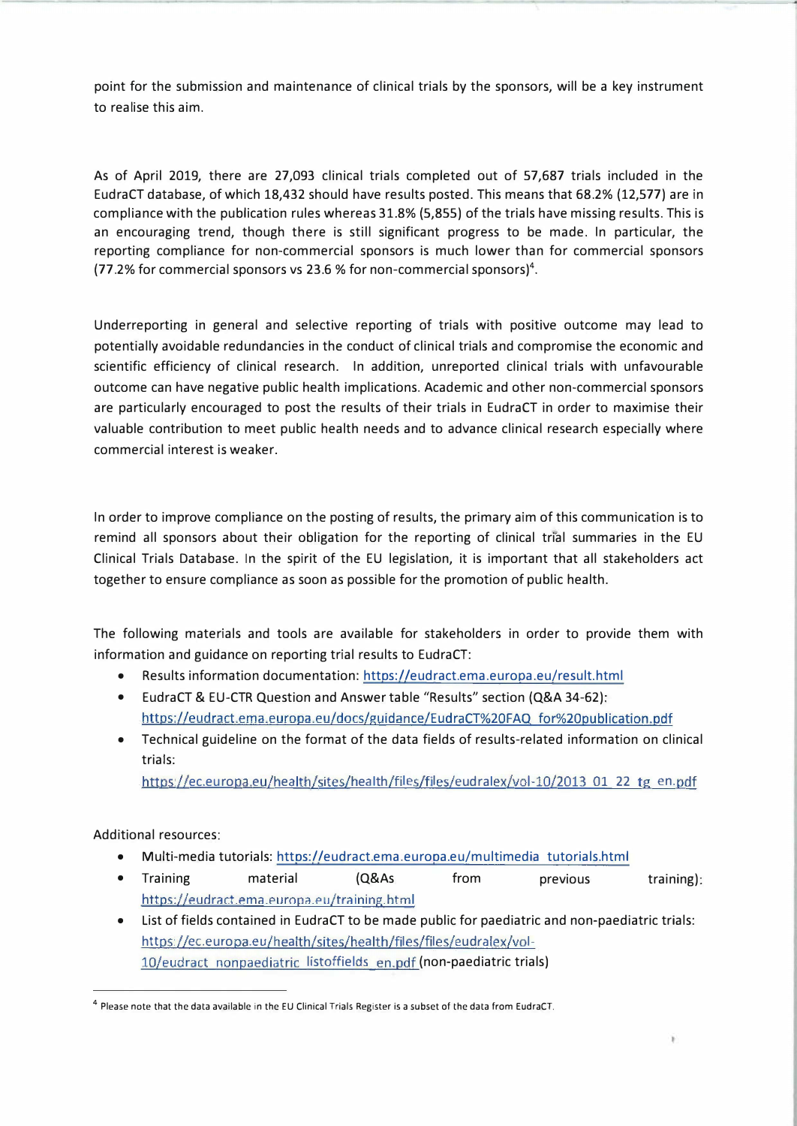point for the submission and maintenance of clinical trials by the sponsors, will be a key instrument to realise this aim.

As of April 2019, there are 27,093 clinical trials completed out of 57,687 trials included in the EudraCT database, of which 18,432 should have results posted. This means that 68.2% (12,577) are in compliance with the publication rules whereas 31.8% (5,855) of the trials have missing results. This is an encouraging trend, though there is still significant progress to be made. In particular, the reporting compliance for non-commercial sponsors is much lower than for commercial sponsors (77.2% for commercial sponsors vs 23.6 % for non-commercial sponsors)<sup>4</sup>.

Underreporting in general and selective reporting of trials with positive outcome may lead to potentially avoidable redundancies in the conduct of clinical trials and compromise the economic and scientific efficiency of clinical research. In addition, unreported clinical trials with unfavourable outcome can have negative public health implications. Academic and other non-commercial sponsors are particularly encouraged to post the results of their trials in EudraCT in order to maximise their valuable contribution to meet public health needs and to advance clinical research especially where commercial interest is weaker.

In order to improve compliance on the posting of results, the primary aim of this communication is to remind all sponsors about their obligation for the reporting of clinical trial summaries in the EU Clinical Trials Database. In the spirit of the EU legislation, it is important that all stakeholders act together to ensure compliance as soon as possible for the promotion of public health.

The following materials and tools are available for stakeholders in order to provide them with information and guidance on reporting trial results to EudraCT:

- Results information documentation: [httos://eudract.ema.europa.eu/result.html](https://eudract.ema.europa.eu/result.html)
- EudraCT & EU-CTR Question and Answer table "Results" section (Q&A 34-62): https://eudract.ema.europa.eu/docs/guidance/EudraCT%20FAQ for%20publication.pdf
- Technical guideline on the format of the data fields of results-related information on clinical trials:

https://ec.europa.eu/health/sites/health/files/files/eudralex/vol-10/2013 01 22 tg en.pdf

Additional resources:

- Multi-media tutorials[: httos://eudract.ema.eurooa.eu/multimedia tutorials.html](https://eudract.ema.europa.eu/multimedia_tutorials.html)
- Training material (Q&As https://eudract.ema.europa.eu/training.html from previous training):
- List of fields contained in EudraCT to be made public for paediatric and non-paediatric trials: https://ec.europa.eu/health/sites/health/files/files/eudralex/vol-[10/eudract nonpaediatric listoffields en.pdf \(non-paediatric trials](https://ec.europa.eu/health/sites/health/files/files/eudralex/vol-10/eudract_nonpaediatric_listoffields_en.pdf))

<sup>4</sup> Please note that the data available in the EU Clinical Trials Register is a subset of the data from EudraCT.